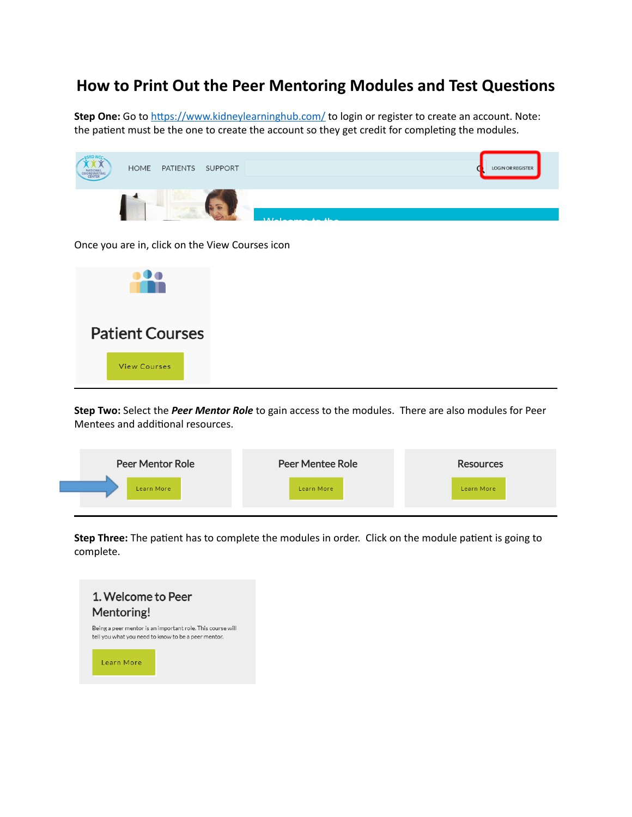## **How to Print Out the Peer Mentoring Modules and Test Questions**

Step One: Go to https://www.kidneylearninghub.com/ to login or register to create an account. Note: the patient must be the one to create the account so they get credit for completing the modules.



**Step Two:** Select the *Peer Mentor Role* to gain access to the modules. There are also modules for Peer Mentees and additional resources.

| Peer Mentor Role | Peer Mentee Role | Resources  |
|------------------|------------------|------------|
| Learn More       | Learn More       | Learn More |

Step Three: The patient has to complete the modules in order. Click on the module patient is going to complete.